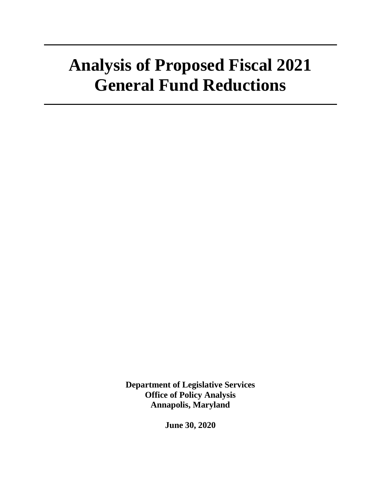**Department of Legislative Services Office of Policy Analysis Annapolis, Maryland**

**June 30, 2020**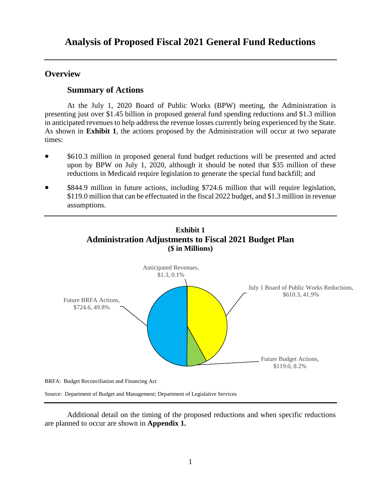# **Overview**

# **Summary of Actions**

At the July 1, 2020 Board of Public Works (BPW) meeting, the Administration is presenting just over \$1.45 billion in proposed general fund spending reductions and \$1.3 million in anticipated revenues to help address the revenue losses currently being experienced by the State. As shown in **Exhibit 1**, the actions proposed by the Administration will occur at two separate times:

- \$610.3 million in proposed general fund budget reductions will be presented and acted upon by BPW on July 1, 2020, although it should be noted that \$35 million of these reductions in Medicaid require legislation to generate the special fund backfill; and
- \$844.9 million in future actions, including \$724.6 million that will require legislation, \$119.0 million that can be effectuated in the fiscal 2022 budget, and \$1.3 million in revenue assumptions.



Source: Department of Budget and Management; Department of Legislative Services

Additional detail on the timing of the proposed reductions and when specific reductions are planned to occur are shown in **Appendix 1.**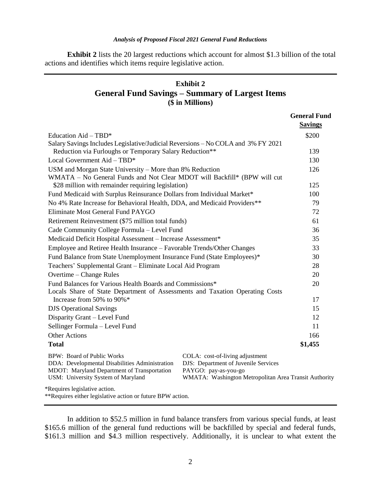**Exhibit 2** lists the 20 largest reductions which account for almost \$1.3 billion of the total actions and identifies which items require legislative action.

# **Exhibit 2 General Fund Savings – Summary of Largest Items (\$ in Millions)**

|                                                                                                                                                                   |                                                                                                                                                          | <b>General Fund</b> |
|-------------------------------------------------------------------------------------------------------------------------------------------------------------------|----------------------------------------------------------------------------------------------------------------------------------------------------------|---------------------|
|                                                                                                                                                                   |                                                                                                                                                          | <b>Savings</b>      |
| Education $Aid - TBD^*$                                                                                                                                           |                                                                                                                                                          | \$200               |
| Salary Savings Includes Legislative/Judicial Reversions – No COLA and 3% FY 2021                                                                                  |                                                                                                                                                          |                     |
| Reduction via Furloughs or Temporary Salary Reduction**                                                                                                           |                                                                                                                                                          | 139                 |
| Local Government Aid - TBD*                                                                                                                                       |                                                                                                                                                          | 130                 |
| USM and Morgan State University - More than 8% Reduction                                                                                                          |                                                                                                                                                          | 126                 |
| WMATA – No General Funds and Not Clear MDOT will Backfill* (BPW will cut                                                                                          |                                                                                                                                                          |                     |
| \$28 million with remainder requiring legislation)                                                                                                                |                                                                                                                                                          | 125                 |
| Fund Medicaid with Surplus Reinsurance Dollars from Individual Market*                                                                                            |                                                                                                                                                          | 100                 |
| No 4% Rate Increase for Behavioral Health, DDA, and Medicaid Providers**                                                                                          |                                                                                                                                                          | 79                  |
| Eliminate Most General Fund PAYGO                                                                                                                                 |                                                                                                                                                          | 72                  |
| Retirement Reinvestment (\$75 million total funds)                                                                                                                |                                                                                                                                                          | 61                  |
| Cade Community College Formula - Level Fund                                                                                                                       |                                                                                                                                                          | 36                  |
| Medicaid Deficit Hospital Assessment - Increase Assessment*                                                                                                       |                                                                                                                                                          | 35                  |
| Employee and Retiree Health Insurance - Favorable Trends/Other Changes                                                                                            |                                                                                                                                                          | 33                  |
| Fund Balance from State Unemployment Insurance Fund (State Employees)*                                                                                            |                                                                                                                                                          | 30                  |
| Teachers' Supplemental Grant - Eliminate Local Aid Program                                                                                                        |                                                                                                                                                          | 28                  |
| Overtime – Change Rules                                                                                                                                           |                                                                                                                                                          | 20                  |
| Fund Balances for Various Health Boards and Commissions*                                                                                                          |                                                                                                                                                          | 20                  |
| Locals Share of State Department of Assessments and Taxation Operating Costs                                                                                      |                                                                                                                                                          |                     |
| Increase from 50% to 90%*                                                                                                                                         |                                                                                                                                                          | 17                  |
| <b>DJS</b> Operational Savings                                                                                                                                    |                                                                                                                                                          | 15                  |
| Disparity Grant - Level Fund                                                                                                                                      |                                                                                                                                                          | 12                  |
| Sellinger Formula - Level Fund                                                                                                                                    |                                                                                                                                                          | 11                  |
| <b>Other Actions</b>                                                                                                                                              |                                                                                                                                                          | 166                 |
| <b>Total</b>                                                                                                                                                      |                                                                                                                                                          | \$1,455             |
| BPW: Board of Public Works<br>DDA: Developmental Disabilities Administration<br>MDOT: Maryland Department of Transportation<br>USM: University System of Maryland | COLA: cost-of-living adjustment<br>DJS: Department of Juvenile Services<br>PAYGO: pay-as-you-go<br>WMATA: Washington Metropolitan Area Transit Authority |                     |
| *Requires legislative action.<br>**Requires either legislative action or future BPW action.                                                                       |                                                                                                                                                          |                     |

In addition to \$52.5 million in fund balance transfers from various special funds, at least \$165.6 million of the general fund reductions will be backfilled by special and federal funds, \$161.3 million and \$4.3 million respectively. Additionally, it is unclear to what extent the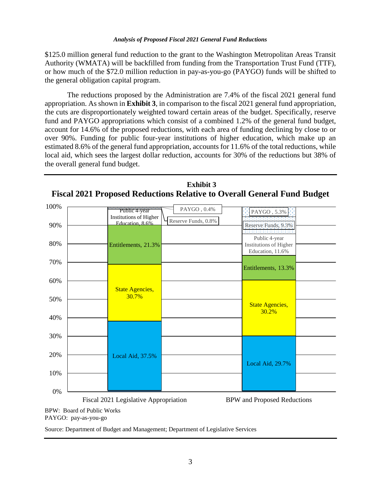\$125.0 million general fund reduction to the grant to the Washington Metropolitan Areas Transit Authority (WMATA) will be backfilled from funding from the Transportation Trust Fund (TTF), or how much of the \$72.0 million reduction in pay-as-you-go (PAYGO) funds will be shifted to the general obligation capital program.

The reductions proposed by the Administration are 7.4% of the fiscal 2021 general fund appropriation. As shown in **Exhibit 3**, in comparison to the fiscal 2021 general fund appropriation, the cuts are disproportionately weighted toward certain areas of the budget. Specifically, reserve fund and PAYGO appropriations which consist of a combined 1.2% of the general fund budget, account for 14.6% of the proposed reductions, with each area of funding declining by close to or over 90%. Funding for public four-year institutions of higher education, which make up an estimated 8.6% of the general fund appropriation, accounts for 11.6% of the total reductions, while local aid, which sees the largest dollar reduction, accounts for 30% of the reductions but 38% of the overall general fund budget.





BPW: Board of Public Works PAYGO: pay-as-you-go

Source: Department of Budget and Management; Department of Legislative Services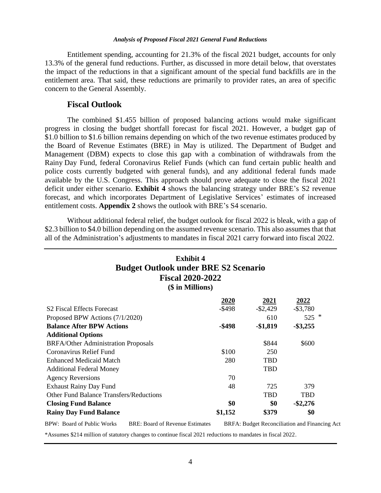Entitlement spending, accounting for 21.3% of the fiscal 2021 budget, accounts for only 13.3% of the general fund reductions. Further, as discussed in more detail below, that overstates the impact of the reductions in that a significant amount of the special fund backfills are in the entitlement area. That said, these reductions are primarily to provider rates, an area of specific concern to the General Assembly.

#### **Fiscal Outlook**

The combined \$1.455 billion of proposed balancing actions would make significant progress in closing the budget shortfall forecast for fiscal 2021. However, a budget gap of \$1.0 billion to \$1.6 billion remains depending on which of the two revenue estimates produced by the Board of Revenue Estimates (BRE) in May is utilized. The Department of Budget and Management (DBM) expects to close this gap with a combination of withdrawals from the Rainy Day Fund, federal Coronavirus Relief Funds (which can fund certain public health and police costs currently budgeted with general funds), and any additional federal funds made available by the U.S. Congress. This approach should prove adequate to close the fiscal 2021 deficit under either scenario. **Exhibit 4** shows the balancing strategy under BRE's S2 revenue forecast, and which incorporates Department of Legislative Services' estimates of increased entitlement costs. **Appendix 2** shows the outlook with BRE's S4 scenario.

Without additional federal relief, the budget outlook for fiscal 2022 is bleak, with a gap of \$2.3 billion to \$4.0 billion depending on the assumed revenue scenario. This also assumes that that all of the Administration's adjustments to mandates in fiscal 2021 carry forward into fiscal 2022.

| <b>Exhibit 4</b><br><b>Budget Outlook under BRE S2 Scenario</b><br><b>Fiscal 2020-2022</b><br>(\$ in Millions) |             |             |             |  |  |
|----------------------------------------------------------------------------------------------------------------|-------------|-------------|-------------|--|--|
|                                                                                                                | <u>2020</u> | <u>2021</u> | 2022        |  |  |
| S <sub>2</sub> Fiscal Effects Forecast                                                                         | $-$ \$498   | $-$ \$2,429 | $-$ \$3,780 |  |  |
| Proposed BPW Actions (7/1/2020)                                                                                |             | 610         | ∗<br>525    |  |  |
| <b>Balance After BPW Actions</b>                                                                               | -\$498      | $-$1,819$   | $-$ \$3,255 |  |  |
| <b>Additional Options</b>                                                                                      |             |             |             |  |  |
| <b>BRFA/Other Administration Proposals</b>                                                                     |             | \$844       | \$600       |  |  |
| Coronavirus Relief Fund                                                                                        | \$100       | 250         |             |  |  |
| <b>Enhanced Medicaid Match</b>                                                                                 | 280         | <b>TBD</b>  |             |  |  |
| <b>Additional Federal Money</b>                                                                                |             | <b>TBD</b>  |             |  |  |
| <b>Agency Reversions</b>                                                                                       | 70          |             |             |  |  |
| <b>Exhaust Rainy Day Fund</b>                                                                                  | 48          | 725         | 379         |  |  |
| <b>Other Fund Balance Transfers/Reductions</b>                                                                 |             | <b>TBD</b>  | <b>TBD</b>  |  |  |
| \$0<br>\$0<br>$-$ \$2,276<br><b>Closing Fund Balance</b>                                                       |             |             |             |  |  |
| <b>Rainy Day Fund Balance</b>                                                                                  | \$1,152     | \$379       | \$0         |  |  |

BPW: Board of Public Works BRE: Board of Revenue Estimates BRFA: Budget Reconciliation and Financing Act

\*Assumes \$214 million of statutory changes to continue fiscal 2021 reductions to mandates in fiscal 2022.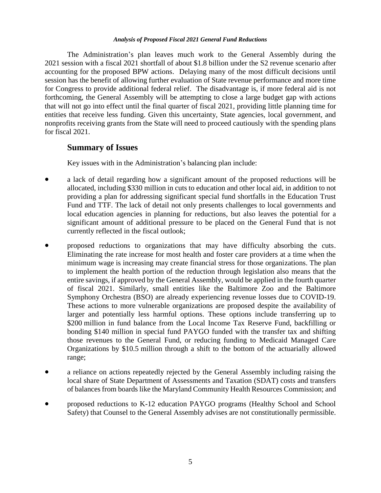The Administration's plan leaves much work to the General Assembly during the 2021 session with a fiscal 2021 shortfall of about \$1.8 billion under the S2 revenue scenario after accounting for the proposed BPW actions. Delaying many of the most difficult decisions until session has the benefit of allowing further evaluation of State revenue performance and more time for Congress to provide additional federal relief. The disadvantage is, if more federal aid is not forthcoming, the General Assembly will be attempting to close a large budget gap with actions that will not go into effect until the final quarter of fiscal 2021, providing little planning time for entities that receive less funding. Given this uncertainty, State agencies, local government, and nonprofits receiving grants from the State will need to proceed cautiously with the spending plans for fiscal 2021.

# **Summary of Issues**

Key issues with in the Administration's balancing plan include:

- a lack of detail regarding how a significant amount of the proposed reductions will be allocated, including \$330 million in cuts to education and other local aid, in addition to not providing a plan for addressing significant special fund shortfalls in the Education Trust Fund and TTF. The lack of detail not only presents challenges to local governments and local education agencies in planning for reductions, but also leaves the potential for a significant amount of additional pressure to be placed on the General Fund that is not currently reflected in the fiscal outlook;
- proposed reductions to organizations that may have difficulty absorbing the cuts. Eliminating the rate increase for most health and foster care providers at a time when the minimum wage is increasing may create financial stress for those organizations. The plan to implement the health portion of the reduction through legislation also means that the entire savings, if approved by the General Assembly, would be applied in the fourth quarter of fiscal 2021. Similarly, small entities like the Baltimore Zoo and the Baltimore Symphony Orchestra (BSO) are already experiencing revenue losses due to COVID-19. These actions to more vulnerable organizations are proposed despite the availability of larger and potentially less harmful options. These options include transferring up to \$200 million in fund balance from the Local Income Tax Reserve Fund, backfilling or bonding \$140 million in special fund PAYGO funded with the transfer tax and shifting those revenues to the General Fund, or reducing funding to Medicaid Managed Care Organizations by \$10.5 million through a shift to the bottom of the actuarially allowed range;
- a reliance on actions repeatedly rejected by the General Assembly including raising the local share of State Department of Assessments and Taxation (SDAT) costs and transfers of balances from boards like the Maryland Community Health Resources Commission; and
- proposed reductions to K-12 education PAYGO programs (Healthy School and School Safety) that Counsel to the General Assembly advises are not constitutionally permissible.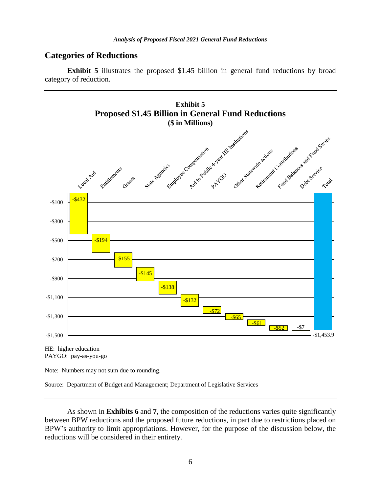# **Categories of Reductions**

**Exhibit 5** illustrates the proposed \$1.45 billion in general fund reductions by broad category of reduction.



HE: higher education PAYGO: pay-as-you-go

Note: Numbers may not sum due to rounding.

Source: Department of Budget and Management; Department of Legislative Services

As shown in **Exhibits 6** and **7**, the composition of the reductions varies quite significantly between BPW reductions and the proposed future reductions, in part due to restrictions placed on BPW's authority to limit appropriations. However, for the purpose of the discussion below, the reductions will be considered in their entirety.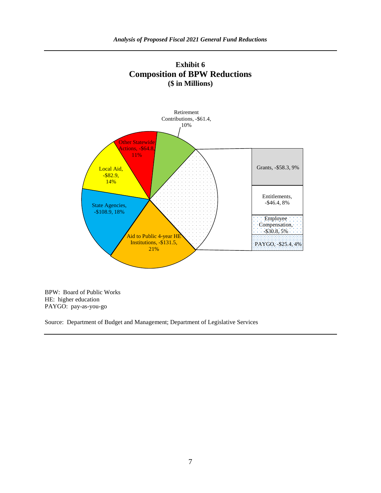



BPW: Board of Public Works HE: higher education PAYGO: pay-as-you-go

Source: Department of Budget and Management; Department of Legislative Services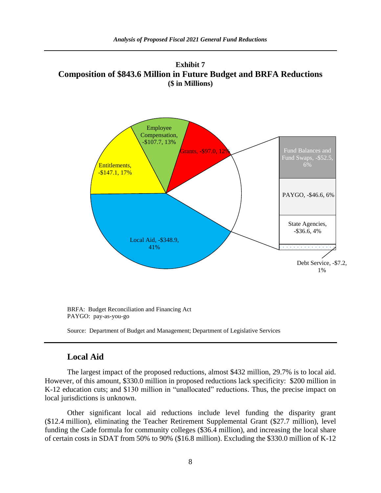**Exhibit 7 Composition of \$843.6 Million in Future Budget and BRFA Reductions (\$ in Millions)**



# **Local Aid**

The largest impact of the proposed reductions, almost \$432 million, 29.7% is to local aid. However, of this amount, \$330.0 million in proposed reductions lack specificity: \$200 million in K-12 education cuts; and \$130 million in "unallocated" reductions. Thus, the precise impact on local jurisdictions is unknown.

Other significant local aid reductions include level funding the disparity grant (\$12.4 million), eliminating the Teacher Retirement Supplemental Grant (\$27.7 million), level funding the Cade formula for community colleges (\$36.4 million), and increasing the local share of certain costs in SDAT from 50% to 90% (\$16.8 million). Excluding the \$330.0 million of K-12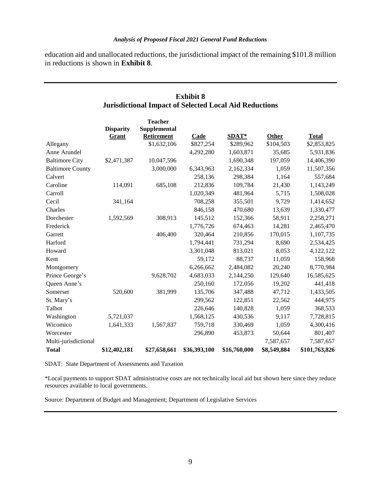education aid and unallocated reductions, the jurisdictional impact of the remaining \$101.8 million in reductions is shown in **Exhibit 8**.

| <b>Exhibit 8</b>                                              |                                  |                                                     |              |              |             |               |
|---------------------------------------------------------------|----------------------------------|-----------------------------------------------------|--------------|--------------|-------------|---------------|
| <b>Jurisdictional Impact of Selected Local Aid Reductions</b> |                                  |                                                     |              |              |             |               |
|                                                               | <b>Disparity</b><br><b>Grant</b> | <b>Teacher</b><br>Supplemental<br><b>Retirement</b> | Cade         | SDAT*        | Other       | <b>Total</b>  |
| Allegany                                                      |                                  | \$1,632,106                                         | \$827,254    | \$289,962    | \$104,503   | \$2,853,825   |
| Anne Arundel                                                  |                                  |                                                     | 4,292,280    | 1,603,871    | 35,685      | 5,931,836     |
| <b>Baltimore City</b>                                         | \$2,471,387                      | 10,047,596                                          |              | 1,690,348    | 197,059     | 14,406,390    |
| <b>Baltimore County</b>                                       |                                  | 3,000,000                                           | 6,343,963    | 2,162,334    | 1,059       | 11,507,356    |
| Calvert                                                       |                                  |                                                     | 258,136      | 298,384      | 1,164       | 557,684       |
| Caroline                                                      | 114,091                          | 685,108                                             | 212,836      | 109,784      | 21,430      | 1,143,249     |
| Carroll                                                       |                                  |                                                     | 1,020,349    | 481,964      | 5,715       | 1,508,028     |
| Cecil                                                         | 341,164                          |                                                     | 708,258      | 355,501      | 9,729       | 1,414,652     |
| Charles                                                       |                                  |                                                     | 846,158      | 470,680      | 13,639      | 1,330,477     |
| Dorchester                                                    | 1,592,569                        | 308,913                                             | 145,512      | 152,366      | 58,911      | 2,258,271     |
| Frederick                                                     |                                  |                                                     | 1,776,726    | 674,463      | 14,281      | 2,465,470     |
| Garrett                                                       |                                  | 406,400                                             | 320,464      | 210,856      | 170,015     | 1,107,735     |
| Harford                                                       |                                  |                                                     | 1,794,441    | 731,294      | 8,690       | 2,534,425     |
| Howard                                                        |                                  |                                                     | 3,301,048    | 813,021      | 8,053       | 4,122,122     |
| Kent                                                          |                                  |                                                     | 59,172       | 88,737       | 11,059      | 158,968       |
| Montgomery                                                    |                                  |                                                     | 6,266,662    | 2,484,082    | 20,240      | 8,770,984     |
| Prince George's                                               |                                  | 9,628,702                                           | 4,683,033    | 2,144,250    | 129,640     | 16,585,625    |
| Queen Anne's                                                  |                                  |                                                     | 250,160      | 172,056      | 19,202      | 441,418       |
| Somerset                                                      | 520,600                          | 381,999                                             | 135,706      | 347,488      | 47,712      | 1,433,505     |
| St. Mary's                                                    |                                  |                                                     | 299,562      | 122,851      | 22,562      | 444,975       |
| Talbot                                                        |                                  |                                                     | 226,646      | 140,828      | 1,059       | 368,533       |
| Washington                                                    | 5,721,037                        |                                                     | 1,568,125    | 430,536      | 9,117       | 7,728,815     |
| Wicomico                                                      | 1,641,333                        | 1,567,837                                           | 759,718      | 330,469      | 1,059       | 4,300,416     |
| Worcester                                                     |                                  |                                                     | 296,890      | 453,873      | 50,644      | 801,407       |
| Multi-jurisdictional                                          |                                  |                                                     |              |              | 7,587,657   | 7,587,657     |
| <b>Total</b>                                                  | \$12,402,181                     | \$27,658,661                                        | \$36,393,100 | \$16,760,000 | \$8,549,884 | \$101,763,826 |

SDAT: State Department of Assessments and Taxation

\*Local payments to support SDAT administrative costs are not technically local aid but shown here since they reduce resources available to local governments.

Source: Department of Budget and Management; Department of Legislative Services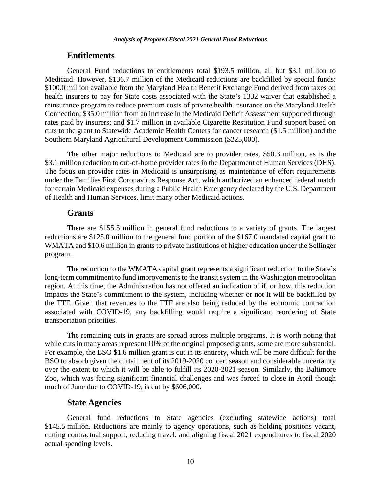## **Entitlements**

General Fund reductions to entitlements total \$193.5 million, all but \$3.1 million to Medicaid. However, \$136.7 million of the Medicaid reductions are backfilled by special funds: \$100.0 million available from the Maryland Health Benefit Exchange Fund derived from taxes on health insurers to pay for State costs associated with the State's 1332 waiver that established a reinsurance program to reduce premium costs of private health insurance on the Maryland Health Connection; \$35.0 million from an increase in the Medicaid Deficit Assessment supported through rates paid by insurers; and \$1.7 million in available Cigarette Restitution Fund support based on cuts to the grant to Statewide Academic Health Centers for cancer research (\$1.5 million) and the Southern Maryland Agricultural Development Commission (\$225,000).

The other major reductions to Medicaid are to provider rates, \$50.3 million, as is the \$3.1 million reduction to out-of-home provider rates in the Department of Human Services (DHS). The focus on provider rates in Medicaid is unsurprising as maintenance of effort requirements under the Families First Coronavirus Response Act, which authorized an enhanced federal match for certain Medicaid expenses during a Public Health Emergency declared by the U.S. Department of Health and Human Services, limit many other Medicaid actions.

#### **Grants**

There are \$155.5 million in general fund reductions to a variety of grants. The largest reductions are \$125.0 million to the general fund portion of the \$167.0 mandated capital grant to WMATA and \$10.6 million in grants to private institutions of higher education under the Sellinger program.

The reduction to the WMATA capital grant represents a significant reduction to the State's long-term commitment to fund improvements to the transit system in the Washington metropolitan region. At this time, the Administration has not offered an indication of if, or how, this reduction impacts the State's commitment to the system, including whether or not it will be backfilled by the TTF. Given that revenues to the TTF are also being reduced by the economic contraction associated with COVID-19, any backfilling would require a significant reordering of State transportation priorities.

The remaining cuts in grants are spread across multiple programs. It is worth noting that while cuts in many areas represent 10% of the original proposed grants, some are more substantial. For example, the BSO \$1.6 million grant is cut in its entirety, which will be more difficult for the BSO to absorb given the curtailment of its 2019-2020 concert season and considerable uncertainty over the extent to which it will be able to fulfill its 2020-2021 season. Similarly, the Baltimore Zoo, which was facing significant financial challenges and was forced to close in April though much of June due to COVID-19, is cut by \$606,000.

#### **State Agencies**

General fund reductions to State agencies (excluding statewide actions) total \$145.5 million. Reductions are mainly to agency operations, such as holding positions vacant, cutting contractual support, reducing travel, and aligning fiscal 2021 expenditures to fiscal 2020 actual spending levels.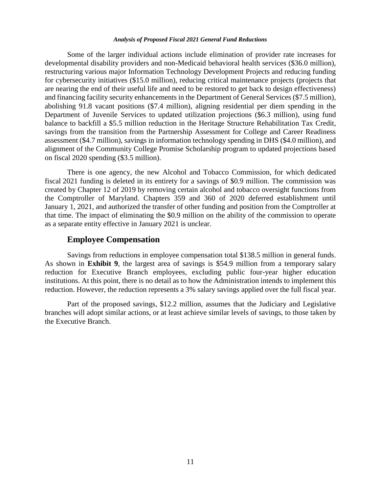Some of the larger individual actions include elimination of provider rate increases for developmental disability providers and non-Medicaid behavioral health services (\$36.0 million), restructuring various major Information Technology Development Projects and reducing funding for cybersecurity initiatives (\$15.0 million), reducing critical maintenance projects (projects that are nearing the end of their useful life and need to be restored to get back to design effectiveness) and financing facility security enhancements in the Department of General Services (\$7.5 million), abolishing 91.8 vacant positions (\$7.4 million), aligning residential per diem spending in the Department of Juvenile Services to updated utilization projections (\$6.3 million), using fund balance to backfill a \$5.5 million reduction in the Heritage Structure Rehabilitation Tax Credit, savings from the transition from the Partnership Assessment for College and Career Readiness assessment (\$4.7 million), savings in information technology spending in DHS (\$4.0 million), and alignment of the Community College Promise Scholarship program to updated projections based on fiscal 2020 spending (\$3.5 million).

There is one agency, the new Alcohol and Tobacco Commission, for which dedicated fiscal 2021 funding is deleted in its entirety for a savings of \$0.9 million. The commission was created by Chapter 12 of 2019 by removing certain alcohol and tobacco oversight functions from the Comptroller of Maryland. Chapters 359 and 360 of 2020 deferred establishment until January 1, 2021, and authorized the transfer of other funding and position from the Comptroller at that time. The impact of eliminating the \$0.9 million on the ability of the commission to operate as a separate entity effective in January 2021 is unclear.

#### **Employee Compensation**

Savings from reductions in employee compensation total \$138.5 million in general funds. As shown in **Exhibit 9**, the largest area of savings is \$54.9 million from a temporary salary reduction for Executive Branch employees, excluding public four-year higher education institutions. At this point, there is no detail as to how the Administration intends to implement this reduction. However, the reduction represents a 3% salary savings applied over the full fiscal year.

Part of the proposed savings, \$12.2 million, assumes that the Judiciary and Legislative branches will adopt similar actions, or at least achieve similar levels of savings, to those taken by the Executive Branch.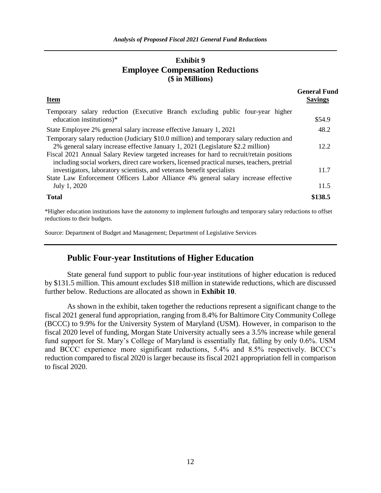# **Exhibit 9 Employee Compensation Reductions (\$ in Millions)**

| <b>Item</b>                                                                                                                                                                                                                                                              | <b>General Fund</b><br><b>Savings</b> |
|--------------------------------------------------------------------------------------------------------------------------------------------------------------------------------------------------------------------------------------------------------------------------|---------------------------------------|
| Temporary salary reduction (Executive Branch excluding public four-year higher<br>education institutions)*                                                                                                                                                               | \$54.9                                |
| State Employee 2% general salary increase effective January 1, 2021                                                                                                                                                                                                      | 48.2                                  |
| Temporary salary reduction (Judiciary \$10.0 million) and temporary salary reduction and<br>2% general salary increase effective January 1, 2021 (Legislature \$2.2 million)<br>Fiscal 2021 Annual Salary Review targeted increases for hard to recruit/retain positions | 12.2                                  |
| including social workers, direct care workers, licensed practical nurses, teachers, pretrial<br>investigators, laboratory scientists, and veterans benefit specialists<br>State Law Enforcement Officers Labor Alliance 4% general salary increase effective             | 11.7                                  |
| July 1, 2020                                                                                                                                                                                                                                                             | 11.5                                  |
| <b>Total</b>                                                                                                                                                                                                                                                             | \$138.5                               |

\*Higher education institutions have the autonomy to implement furloughs and temporary salary reductions to offset reductions to their budgets.

Source: Department of Budget and Management; Department of Legislative Services

## **Public Four-year Institutions of Higher Education**

State general fund support to public four-year institutions of higher education is reduced by \$131.5 million. This amount excludes \$18 million in statewide reductions, which are discussed further below. Reductions are allocated as shown in **Exhibit 10**.

As shown in the exhibit, taken together the reductions represent a significant change to the fiscal 2021 general fund appropriation, ranging from 8.4% for Baltimore City Community College (BCCC) to 9.9% for the University System of Maryland (USM). However, in comparison to the fiscal 2020 level of funding, Morgan State University actually sees a 3.5% increase while general fund support for St. Mary's College of Maryland is essentially flat, falling by only 0.6%. USM and BCCC experience more significant reductions, 5.4% and 8.5% respectively. BCCC's reduction compared to fiscal 2020 is larger because its fiscal 2021 appropriation fell in comparison to fiscal 2020.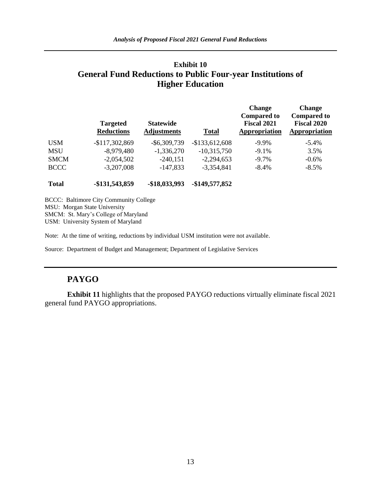# **Exhibit 10 General Fund Reductions to Public Four-year Institutions of Higher Education**

|             | <b>Targeted</b><br><b>Reductions</b> | <b>Statewide</b><br><b>Adjustments</b> | <b>Total</b>    | <b>Change</b><br><b>Compared to</b><br><b>Fiscal 2021</b><br>Appropriation | <b>Change</b><br><b>Compared to</b><br><b>Fiscal 2020</b><br>Appropriation |
|-------------|--------------------------------------|----------------------------------------|-----------------|----------------------------------------------------------------------------|----------------------------------------------------------------------------|
| <b>USM</b>  | $-$117,302,869$                      | $-$ \$6,309,739                        | $-$133,612,608$ | $-9.9\%$                                                                   | $-5.4\%$                                                                   |
| <b>MSU</b>  | $-8,979,480$                         | $-1,336,270$                           | $-10,315,750$   | $-9.1%$                                                                    | 3.5%                                                                       |
| <b>SMCM</b> | $-2,054,502$                         | $-240,151$                             | $-2,294,653$    | $-9.7\%$                                                                   | $-0.6%$                                                                    |
| <b>BCCC</b> | $-3,207,008$                         | $-147,833$                             | $-3,354,841$    | $-8.4%$                                                                    | $-8.5\%$                                                                   |

**Total -\$131,543,859 -\$18,033,993 -\$149,577,852**

BCCC: Baltimore City Community College MSU: Morgan State University SMCM: St. Mary's College of Maryland USM: University System of Maryland

Note: At the time of writing, reductions by individual USM institution were not available.

Source: Department of Budget and Management; Department of Legislative Services

# **PAYGO**

**Exhibit 11** highlights that the proposed PAYGO reductions virtually eliminate fiscal 2021 general fund PAYGO appropriations.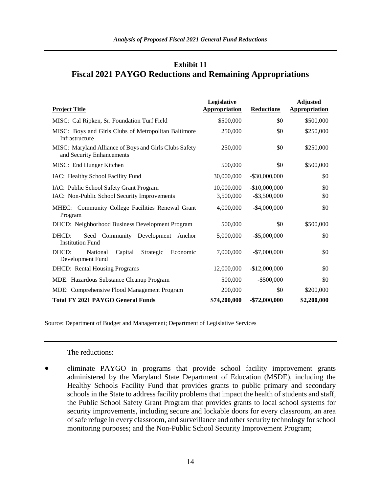# **Exhibit 11 Fiscal 2021 PAYGO Reductions and Remaining Appropriations**

| <b>Project Title</b>                                                                | Legislative<br><b>Appropriation</b> | <b>Reductions</b> | <b>Adjusted</b><br><b>Appropriation</b> |
|-------------------------------------------------------------------------------------|-------------------------------------|-------------------|-----------------------------------------|
| MISC: Cal Ripken, Sr. Foundation Turf Field                                         | \$500,000                           | \$0               | \$500,000                               |
| MISC: Boys and Girls Clubs of Metropolitan Baltimore<br>Infrastructure              | 250,000                             | \$0               | \$250,000                               |
| MISC: Maryland Alliance of Boys and Girls Clubs Safety<br>and Security Enhancements | 250,000                             | \$0               | \$250,000                               |
| MISC: End Hunger Kitchen                                                            | 500,000                             | \$0               | \$500,000                               |
| IAC: Healthy School Facility Fund                                                   | 30,000,000                          | $-$ \$30,000,000  | \$0                                     |
| IAC: Public School Safety Grant Program                                             | 10,000,000                          | $-$10,000,000$    | \$0                                     |
| IAC: Non-Public School Security Improvements                                        | 3,500,000                           | $-$ \$3,500,000   | \$0                                     |
| MHEC: Community College Facilities Renewal Grant<br>Program                         | 4,000,000                           | $-$ \$4,000,000   | \$0                                     |
| DHCD: Neighborhood Business Development Program                                     | 500,000                             | \$0               | \$500,000                               |
| Seed Community Development Anchor<br>DHCD:<br><b>Institution Fund</b>               | 5,000,000                           | $-$ \$5,000,000   | \$0                                     |
| DHCD:<br>National<br>Capital<br>Strategic<br>Economic<br>Development Fund           | 7,000,000                           | $-\$7,000,000$    | \$0                                     |
| <b>DHCD:</b> Rental Housing Programs                                                | 12,000,000                          | $-$12,000,000$    | \$0                                     |
| MDE: Hazardous Substance Cleanup Program                                            | 500,000                             | $-$ \$500,000     | \$0                                     |
| MDE: Comprehensive Flood Management Program                                         | 200,000                             | \$0               | \$200,000                               |
| <b>Total FY 2021 PAYGO General Funds</b>                                            | \$74,200,000                        | $-$ \$72,000,000  | \$2,200,000                             |

Source: Department of Budget and Management; Department of Legislative Services

#### The reductions:

 eliminate PAYGO in programs that provide school facility improvement grants administered by the Maryland State Department of Education (MSDE), including the Healthy Schools Facility Fund that provides grants to public primary and secondary schools in the State to address facility problems that impact the health of students and staff, the Public School Safety Grant Program that provides grants to local school systems for security improvements, including secure and lockable doors for every classroom, an area of safe refuge in every classroom, and surveillance and other security technology for school monitoring purposes; and the Non-Public School Security Improvement Program;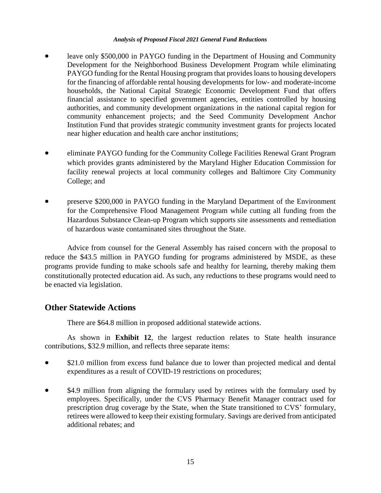- leave only \$500,000 in PAYGO funding in the Department of Housing and Community Development for the Neighborhood Business Development Program while eliminating PAYGO funding for the Rental Housing program that provides loans to housing developers for the financing of affordable rental housing developments for low- and moderate-income households, the National Capital Strategic Economic Development Fund that offers financial assistance to specified government agencies, entities controlled by housing authorities, and community development organizations in the national capital region for community enhancement projects; and the Seed Community Development Anchor Institution Fund that provides strategic community investment grants for projects located near higher education and health care anchor institutions;
- eliminate PAYGO funding for the Community College Facilities Renewal Grant Program which provides grants administered by the Maryland Higher Education Commission for facility renewal projects at local community colleges and Baltimore City Community College; and
- preserve \$200,000 in PAYGO funding in the Maryland Department of the Environment for the Comprehensive Flood Management Program while cutting all funding from the Hazardous Substance Clean-up Program which supports site assessments and remediation of hazardous waste contaminated sites throughout the State.

Advice from counsel for the General Assembly has raised concern with the proposal to reduce the \$43.5 million in PAYGO funding for programs administered by MSDE, as these programs provide funding to make schools safe and healthy for learning, thereby making them constitutionally protected education aid. As such, any reductions to these programs would need to be enacted via legislation.

# **Other Statewide Actions**

There are \$64.8 million in proposed additional statewide actions.

As shown in **Exhibit 12**, the largest reduction relates to State health insurance contributions, \$32.9 million, and reflects three separate items:

- \$21.0 million from excess fund balance due to lower than projected medical and dental expenditures as a result of COVID-19 restrictions on procedures;
- \$4.9 million from aligning the formulary used by retirees with the formulary used by employees. Specifically, under the CVS Pharmacy Benefit Manager contract used for prescription drug coverage by the State, when the State transitioned to CVS' formulary, retirees were allowed to keep their existing formulary. Savings are derived from anticipated additional rebates; and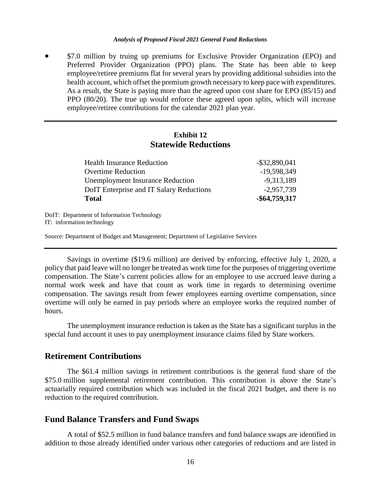\$7.0 million by truing up premiums for Exclusive Provider Organization (EPO) and Preferred Provider Organization (PPO) plans. The State has been able to keep employee/retiree premiums flat for several years by providing additional subsidies into the health account, which offset the premium growth necessary to keep pace with expenditures. As a result, the State is paying more than the agreed upon cost share for EPO (85/15) and PPO (80/20). The true up would enforce these agreed upon splits, which will increase employee/retiree contributions for the calendar 2021 plan year.

## **Exhibit 12 Statewide Reductions**

| <b>Total</b>                             | -\$64,759,317    |
|------------------------------------------|------------------|
| DoIT Enterprise and IT Salary Reductions | $-2,957,739$     |
| <b>Unemployment Insurance Reduction</b>  | $-9,313,189$     |
| <b>Overtime Reduction</b>                | -19,598,349      |
| <b>Health Insurance Reduction</b>        | $-$ \$32,890,041 |

DoIT: Department of Information Technology IT: information technology

Source: Department of Budget and Management; Department of Legislative Services

Savings in overtime (\$19.6 million) are derived by enforcing, effective July 1, 2020, a policy that paid leave will no longer be treated as work time for the purposes of triggering overtime compensation. The State's current policies allow for an employee to use accrued leave during a normal work week and have that count as work time in regards to determining overtime compensation. The savings result from fewer employees earning overtime compensation, since overtime will only be earned in pay periods where an employee works the required number of hours.

The unemployment insurance reduction is taken as the State has a significant surplus in the special fund account it uses to pay unemployment insurance claims filed by State workers.

## **Retirement Contributions**

The \$61.4 million savings in retirement contributions is the general fund share of the \$75.0 million supplemental retirement contribution. This contribution is above the State's actuarially required contribution which was included in the fiscal 2021 budget, and there is no reduction to the required contribution.

#### **Fund Balance Transfers and Fund Swaps**

A total of \$52.5 million in fund balance transfers and fund balance swaps are identified in addition to those already identified under various other categories of reductions and are listed in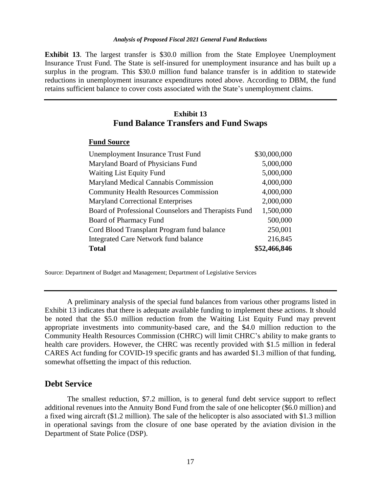**Exhibit 13**. The largest transfer is \$30.0 million from the State Employee Unemployment Insurance Trust Fund. The State is self-insured for unemployment insurance and has built up a surplus in the program. This \$30.0 million fund balance transfer is in addition to statewide reductions in unemployment insurance expenditures noted above. According to DBM, the fund retains sufficient balance to cover costs associated with the State's unemployment claims.

## **Exhibit 13 Fund Balance Transfers and Fund Swaps**

## **Fund Source**

| Unemployment Insurance Trust Fund                    | \$30,000,000 |
|------------------------------------------------------|--------------|
| Maryland Board of Physicians Fund                    | 5,000,000    |
| <b>Waiting List Equity Fund</b>                      | 5,000,000    |
| Maryland Medical Cannabis Commission                 | 4,000,000    |
| <b>Community Health Resources Commission</b>         | 4,000,000    |
| <b>Maryland Correctional Enterprises</b>             | 2,000,000    |
| Board of Professional Counselors and Therapists Fund | 1,500,000    |
| Board of Pharmacy Fund                               | 500,000      |
| Cord Blood Transplant Program fund balance           | 250,001      |
| <b>Integrated Care Network fund balance</b>          | 216,845      |
| <b>Total</b>                                         | \$52,466,846 |

Source: Department of Budget and Management; Department of Legislative Services

A preliminary analysis of the special fund balances from various other programs listed in Exhibit 13 indicates that there is adequate available funding to implement these actions. It should be noted that the \$5.0 million reduction from the Waiting List Equity Fund may prevent appropriate investments into community-based care, and the \$4.0 million reduction to the Community Health Resources Commission (CHRC) will limit CHRC's ability to make grants to health care providers. However, the CHRC was recently provided with \$1.5 million in federal CARES Act funding for COVID-19 specific grants and has awarded \$1.3 million of that funding, somewhat offsetting the impact of this reduction.

### **Debt Service**

The smallest reduction, \$7.2 million, is to general fund debt service support to reflect additional revenues into the Annuity Bond Fund from the sale of one helicopter (\$6.0 million) and a fixed wing aircraft (\$1.2 million). The sale of the helicopter is also associated with \$1.3 million in operational savings from the closure of one base operated by the aviation division in the Department of State Police (DSP).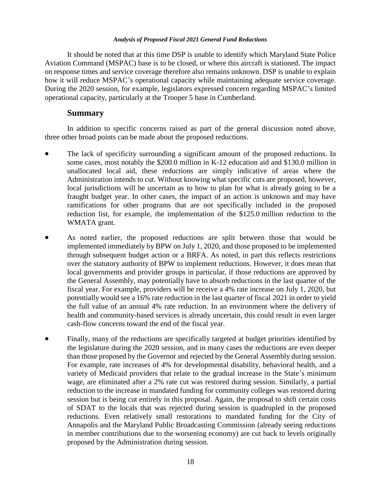It should be noted that at this time DSP is unable to identify which Maryland State Police Aviation Command (MSPAC) base is to be closed, or where this aircraft is stationed. The impact on response times and service coverage therefore also remains unknown. DSP is unable to explain how it will reduce MSPAC's operational capacity while maintaining adequate service coverage. During the 2020 session, for example, legislators expressed concern regarding MSPAC's limited operational capacity, particularly at the Trooper 5 base in Cumberland.

## **Summary**

In addition to specific concerns raised as part of the general discussion noted above, three other broad points can be made about the proposed reductions.

- The lack of specificity surrounding a significant amount of the proposed reductions. In some cases, most notably the \$200.0 million in K-12 education aid and \$130.0 million in unallocated local aid, these reductions are simply indicative of areas where the Administration intends to cut. Without knowing what specific cuts are proposed, however, local jurisdictions will be uncertain as to how to plan for what is already going to be a fraught budget year. In other cases, the impact of an action is unknown and may have ramifications for other programs that are not specifically included in the proposed reduction list, for example, the implementation of the \$125.0 million reduction to the WMATA grant.
- As noted earlier, the proposed reductions are split between those that would be implemented immediately by BPW on July 1, 2020, and those proposed to be implemented through subsequent budget action or a BRFA. As noted, in part this reflects restrictions over the statutory authority of BPW to implement reductions. However, it does mean that local governments and provider groups in particular, if those reductions are approved by the General Assembly, may potentially have to absorb reductions in the last quarter of the fiscal year. For example, providers will be receive a 4% rate increase on July 1, 2020, but potentially would see a 16% rate reduction in the last quarter of fiscal 2021 in order to yield the full value of an annual 4% rate reduction. In an environment where the delivery of health and community-based services is already uncertain, this could result in even larger cash-flow concerns toward the end of the fiscal year.
- Finally, many of the reductions are specifically targeted at budget priorities identified by the legislature during the 2020 session, and in many cases the reductions are even deeper than those proposed by the Governor and rejected by the General Assembly during session. For example, rate increases of 4% for developmental disability, behavioral health, and a variety of Medicaid providers that relate to the gradual increase in the State's minimum wage, are eliminated after a 2% rate cut was restored during session. Similarly, a partial reduction to the increase in mandated funding for community colleges was restored during session but is being cut entirely in this proposal. Again, the proposal to shift certain costs of SDAT to the locals that was rejected during session is quadrupled in the proposed reductions. Even relatively small restorations to mandated funding for the City of Annapolis and the Maryland Public Broadcasting Commission (already seeing reductions in member contributions due to the worsening economy) are cut back to levels originally proposed by the Administration during session.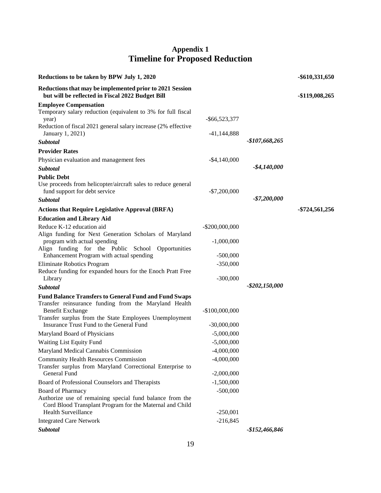# **Appendix 1 Timeline for Proposed Reduction**

| Reductions to be taken by BPW July 1, 2020                                                                   |                   |                 | -\$610,331,650 |
|--------------------------------------------------------------------------------------------------------------|-------------------|-----------------|----------------|
| Reductions that may be implemented prior to 2021 Session<br>but will be reflected in Fiscal 2022 Budget Bill |                   |                 | -\$119,008,265 |
| <b>Employee Compensation</b>                                                                                 |                   |                 |                |
| Temporary salary reduction (equivalent to 3% for full fiscal<br>year)                                        | $-$ \$66,523,377  |                 |                |
| Reduction of fiscal 2021 general salary increase (2% effective                                               |                   |                 |                |
| January 1, 2021)                                                                                             | $-41,144,888$     |                 |                |
| Subtotal                                                                                                     |                   | $-$107,668,265$ |                |
| <b>Provider Rates</b>                                                                                        |                   |                 |                |
| Physician evaluation and management fees                                                                     | $-$ \$4,140,000   |                 |                |
| <b>Subtotal</b>                                                                                              |                   | $-$ \$4,140,000 |                |
| <b>Public Debt</b>                                                                                           |                   |                 |                |
| Use proceeds from helicopter/aircraft sales to reduce general                                                |                   |                 |                |
| fund support for debt service                                                                                | $-$7,200,000$     | $-$7,200,000$   |                |
| <b>Subtotal</b>                                                                                              |                   |                 |                |
| <b>Actions that Require Legislative Approval (BRFA)</b>                                                      |                   |                 | -\$724,561,256 |
| <b>Education and Library Aid</b>                                                                             |                   |                 |                |
| Reduce K-12 education aid                                                                                    | $-$ \$200,000,000 |                 |                |
| Align funding for Next Generation Scholars of Maryland<br>program with actual spending                       | $-1,000,000$      |                 |                |
| Align funding for the Public School<br>Opportunities                                                         |                   |                 |                |
| Enhancement Program with actual spending                                                                     | $-500,000$        |                 |                |
| Eliminate Robotics Program                                                                                   | $-350,000$        |                 |                |
| Reduce funding for expanded hours for the Enoch Pratt Free                                                   |                   |                 |                |
| Library                                                                                                      | $-300,000$        |                 |                |
| Subtotal                                                                                                     |                   | -\$202,150,000  |                |
| <b>Fund Balance Transfers to General Fund and Fund Swaps</b>                                                 |                   |                 |                |
| Transfer reinsurance funding from the Maryland Health                                                        |                   |                 |                |
| <b>Benefit Exchange</b><br>Transfer surplus from the State Employees Unemployment                            | $-$100,000,000$   |                 |                |
| Insurance Trust Fund to the General Fund                                                                     | $-30,000,000$     |                 |                |
| Maryland Board of Physicians                                                                                 | $-5,000,000$      |                 |                |
| Waiting List Equity Fund                                                                                     | $-5,000,000$      |                 |                |
| Maryland Medical Cannabis Commission                                                                         | $-4,000,000$      |                 |                |
| <b>Community Health Resources Commission</b>                                                                 | $-4,000,000$      |                 |                |
| Transfer surplus from Maryland Correctional Enterprise to                                                    |                   |                 |                |
| General Fund                                                                                                 | $-2,000,000$      |                 |                |
| Board of Professional Counselors and Therapists                                                              | $-1,500,000$      |                 |                |
| Board of Pharmacy                                                                                            | $-500,000$        |                 |                |
| Authorize use of remaining special fund balance from the                                                     |                   |                 |                |
| Cord Blood Transplant Program for the Maternal and Child                                                     |                   |                 |                |
| Health Surveillance                                                                                          | $-250,001$        |                 |                |
| <b>Integrated Care Network</b>                                                                               | $-216,845$        |                 |                |
| Subtotal                                                                                                     |                   | -\$152,466,846  |                |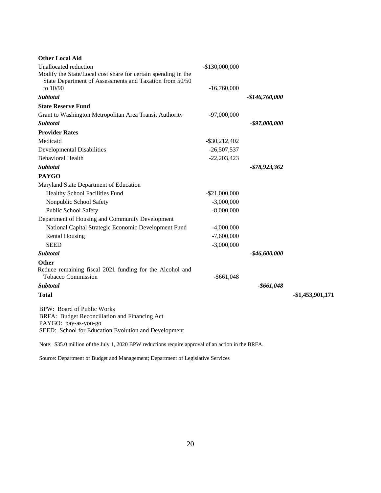| <b>Other Local Aid</b>                                        |                  |                  |                  |
|---------------------------------------------------------------|------------------|------------------|------------------|
| Unallocated reduction                                         | $-$130,000,000$  |                  |                  |
| Modify the State/Local cost share for certain spending in the |                  |                  |                  |
| State Department of Assessments and Taxation from 50/50       |                  |                  |                  |
| to 10/90                                                      | $-16,760,000$    |                  |                  |
| Subtotal                                                      |                  | $-$146,760,000$  |                  |
| <b>State Reserve Fund</b>                                     |                  |                  |                  |
| Grant to Washington Metropolitan Area Transit Authority       | $-97,000,000$    |                  |                  |
| <b>Subtotal</b>                                               |                  | $-$ \$97,000,000 |                  |
| <b>Provider Rates</b>                                         |                  |                  |                  |
| Medicaid                                                      | $-$ \$30,212,402 |                  |                  |
| <b>Developmental Disabilities</b>                             | $-26,507,537$    |                  |                  |
| <b>Behavioral Health</b>                                      | $-22,203,423$    |                  |                  |
| Subtotal                                                      |                  | $-$ \$78,923,362 |                  |
| <b>PAYGO</b>                                                  |                  |                  |                  |
| Maryland State Department of Education                        |                  |                  |                  |
| Healthy School Facilities Fund                                | $-$ \$21,000,000 |                  |                  |
| Nonpublic School Safety                                       | $-3,000,000$     |                  |                  |
| Public School Safety                                          | $-8,000,000$     |                  |                  |
| Department of Housing and Community Development               |                  |                  |                  |
| National Capital Strategic Economic Development Fund          | $-4,000,000$     |                  |                  |
| <b>Rental Housing</b>                                         | $-7,600,000$     |                  |                  |
| <b>SEED</b>                                                   | $-3,000,000$     |                  |                  |
| Subtotal                                                      |                  | $-$46,600,000$   |                  |
| <b>Other</b>                                                  |                  |                  |                  |
| Reduce remaining fiscal 2021 funding for the Alcohol and      |                  |                  |                  |
| <b>Tobacco Commission</b>                                     | $-$ \$661,048    |                  |                  |
| Subtotal                                                      |                  | $-$ \$661,048    |                  |
| <b>Total</b>                                                  |                  |                  | -\$1,453,901,171 |
| <b>BPW: Board of Public Works</b>                             |                  |                  |                  |
| BRFA: Budget Reconciliation and Financing Act                 |                  |                  |                  |
| PAYGO: pay-as-you-go                                          |                  |                  |                  |
| SEED: School for Education Evolution and Development          |                  |                  |                  |

Note: \$35.0 million of the July 1, 2020 BPW reductions require approval of an action in the BRFA.

Source: Department of Budget and Management; Department of Legislative Services